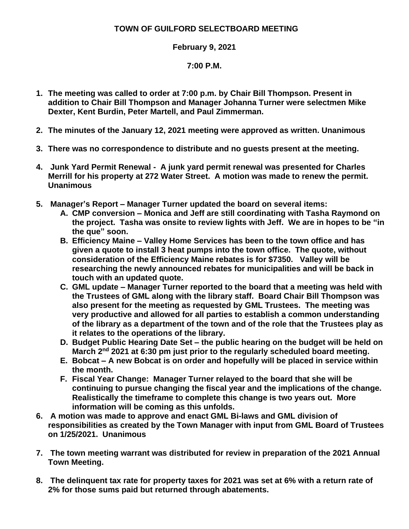## **TOWN OF GUILFORD SELECTBOARD MEETING**

## **February 9, 2021**

## **7:00 P.M.**

- **1. The meeting was called to order at 7:00 p.m. by Chair Bill Thompson. Present in addition to Chair Bill Thompson and Manager Johanna Turner were selectmen Mike Dexter, Kent Burdin, Peter Martell, and Paul Zimmerman.**
- **2. The minutes of the January 12, 2021 meeting were approved as written. Unanimous**
- **3. There was no correspondence to distribute and no guests present at the meeting.**
- **4. Junk Yard Permit Renewal - A junk yard permit renewal was presented for Charles Merrill for his property at 272 Water Street. A motion was made to renew the permit. Unanimous**
- **5. Manager's Report – Manager Turner updated the board on several items:**
	- **A. CMP conversion – Monica and Jeff are still coordinating with Tasha Raymond on the project. Tasha was onsite to review lights with Jeff. We are in hopes to be "in the que" soon.**
	- **B. Efficiency Maine – Valley Home Services has been to the town office and has given a quote to install 3 heat pumps into the town office. The quote, without consideration of the Efficiency Maine rebates is for \$7350. Valley will be researching the newly announced rebates for municipalities and will be back in touch with an updated quote.**
	- **C. GML update – Manager Turner reported to the board that a meeting was held with the Trustees of GML along with the library staff. Board Chair Bill Thompson was also present for the meeting as requested by GML Trustees. The meeting was very productive and allowed for all parties to establish a common understanding of the library as a department of the town and of the role that the Trustees play as it relates to the operations of the library.**
	- **D. Budget Public Hearing Date Set – the public hearing on the budget will be held on March 2nd 2021 at 6:30 pm just prior to the regularly scheduled board meeting.**
	- **E. Bobcat – A new Bobcat is on order and hopefully will be placed in service within the month.**
	- **F. Fiscal Year Change: Manager Turner relayed to the board that she will be continuing to pursue changing the fiscal year and the implications of the change. Realistically the timeframe to complete this change is two years out. More information will be coming as this unfolds.**
- **6. A motion was made to approve and enact GML Bi-laws and GML division of responsibilities as created by the Town Manager with input from GML Board of Trustees on 1/25/2021. Unanimous**
- **7. The town meeting warrant was distributed for review in preparation of the 2021 Annual Town Meeting.**
- **8. The delinquent tax rate for property taxes for 2021 was set at 6% with a return rate of 2% for those sums paid but returned through abatements.**